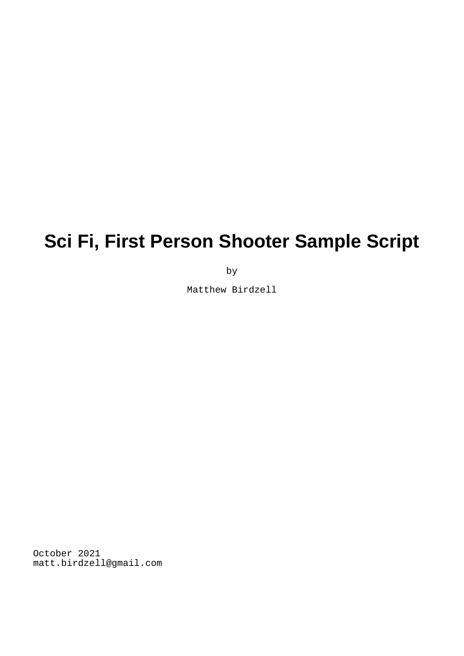# **Sci Fi, First Person Shooter Sample Script**

by

Matthew Birdzell

October 2021 matt.birdzell@gmail.com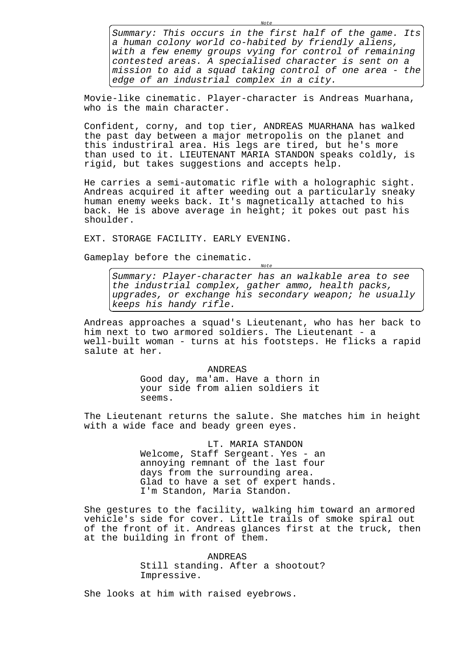Summary: This occurs in the first half of the game. Its a human colony world co-habited by friendly aliens, with a few enemy groups vying for control of remaining contested areas. A specialised character is sent on a mission to aid a squad taking control of one area - the edge of an industrial complex in a city.

Note

Movie-like cinematic. Player-character is Andreas Muarhana, who is the main character.

Confident, corny, and top tier, ANDREAS MUARHANA has walked the past day between a major metropolis on the planet and this industriral area. His legs are tired, but he's more than used to it. LIEUTENANT MARIA STANDON speaks coldly, is rigid, but takes suggestions and accepts help.

He carries a semi-automatic rifle with a holographic sight. Andreas acquired it after weeding out a particularly sneaky human enemy weeks back. It's magnetically attached to his back. He is above average in height; it pokes out past his shoulder.

EXT. STORAGE FACILITY. EARLY EVENING.

Gameplay before the cinematic.

Summary: Player-character has an walkable area to see the industrial complex, gather ammo, health packs, upgrades, or exchange his secondary weapon; he usually keeps his handy rifle.

Note

Andreas approaches a squad's Lieutenant, who has her back to him next to two armored soldiers. The Lieutenant - a well-built woman - turns at his footsteps. He flicks a rapid salute at her.

> ANDREAS Good day, ma'am. Have a thorn in your side from alien soldiers it seems.

The Lieutenant returns the salute. She matches him in height with a wide face and beady green eyes.

> LT. MARIA STANDON Welcome, Staff Sergeant. Yes - an annoying remnant of the last four days from the surrounding area. Glad to have a set of expert hands. I'm Standon, Maria Standon.

She gestures to the facility, walking him toward an armored vehicle's side for cover. Little trails of smoke spiral out of the front of it. Andreas glances first at the truck, then at the building in front of them.

> ANDREAS Still standing. After a shootout? Impressive.

She looks at him with raised eyebrows.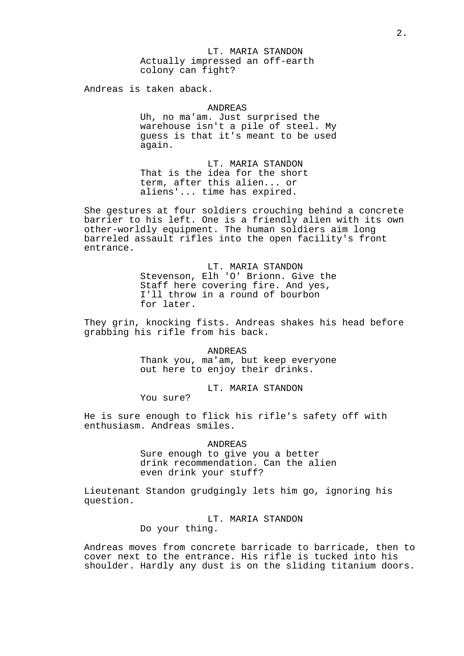LT. MARIA STANDON Actually impressed an off-earth colony can fight?

Andreas is taken aback.

## ANDREAS

Uh, no ma'am. Just surprised the warehouse isn't a pile of steel. My guess is that it's meant to be used again.

LT. MARIA STANDON That is the idea for the short term, after this alien... or aliens'... time has expired.

She gestures at four soldiers crouching behind a concrete barrier to his left. One is a friendly alien with its own other-worldly equipment. The human soldiers aim long barreled assault rifles into the open facility's front entrance.

> LT. MARIA STANDON Stevenson, Elh 'O' Brionn. Give the Staff here covering fire. And yes, I'll throw in a round of bourbon for later.

They grin, knocking fists. Andreas shakes his head before grabbing his rifle from his back.

> ANDREAS Thank you, ma'am, but keep everyone out here to enjoy their drinks.

> > LT. MARIA STANDON

You sure?

He is sure enough to flick his rifle's safety off with enthusiasm. Andreas smiles.

> ANDREAS Sure enough to give you a better drink recommendation. Can the alien even drink your stuff?

Lieutenant Standon grudgingly lets him go, ignoring his question.

> LT. MARIA STANDON Do your thing.

Andreas moves from concrete barricade to barricade, then to cover next to the entrance. His rifle is tucked into his shoulder. Hardly any dust is on the sliding titanium doors.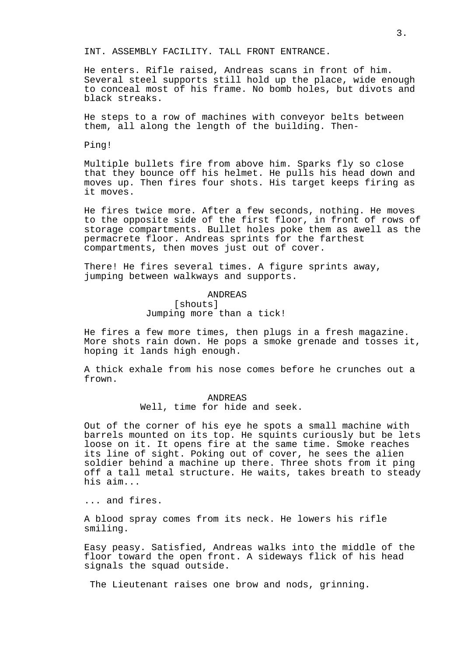INT. ASSEMBLY FACILITY. TALL FRONT ENTRANCE.

He enters. Rifle raised, Andreas scans in front of him. Several steel supports still hold up the place, wide enough to conceal most of his frame. No bomb holes, but divots and black streaks.

He steps to a row of machines with conveyor belts between them, all along the length of the building. Then-

Ping!

Multiple bullets fire from above him. Sparks fly so close that they bounce off his helmet. He pulls his head down and moves up. Then fires four shots. His target keeps firing as it moves.

He fires twice more. After a few seconds, nothing. He moves to the opposite side of the first floor, in front of rows of storage compartments. Bullet holes poke them as awell as the permacrete floor. Andreas sprints for the farthest compartments, then moves just out of cover.

There! He fires several times. A figure sprints away, jumping between walkways and supports.

#### ANDREAS

## [shouts] Jumping more than a tick!

He fires a few more times, then plugs in a fresh magazine. More shots rain down. He pops a smoke grenade and tosses it, hoping it lands high enough.

A thick exhale from his nose comes before he crunches out a frown.

## ANDREAS Well, time for hide and seek.

Out of the corner of his eye he spots a small machine with barrels mounted on its top. He squints curiously but be lets loose on it. It opens fire at the same time. Smoke reaches its line of sight. Poking out of cover, he sees the alien soldier behind a machine up there. Three shots from it ping off a tall metal structure. He waits, takes breath to steady his aim...

... and fires.

A blood spray comes from its neck. He lowers his rifle smiling.

Easy peasy. Satisfied, Andreas walks into the middle of the floor toward the open front. A sideways flick of his head signals the squad outside.

The Lieutenant raises one brow and nods, grinning.